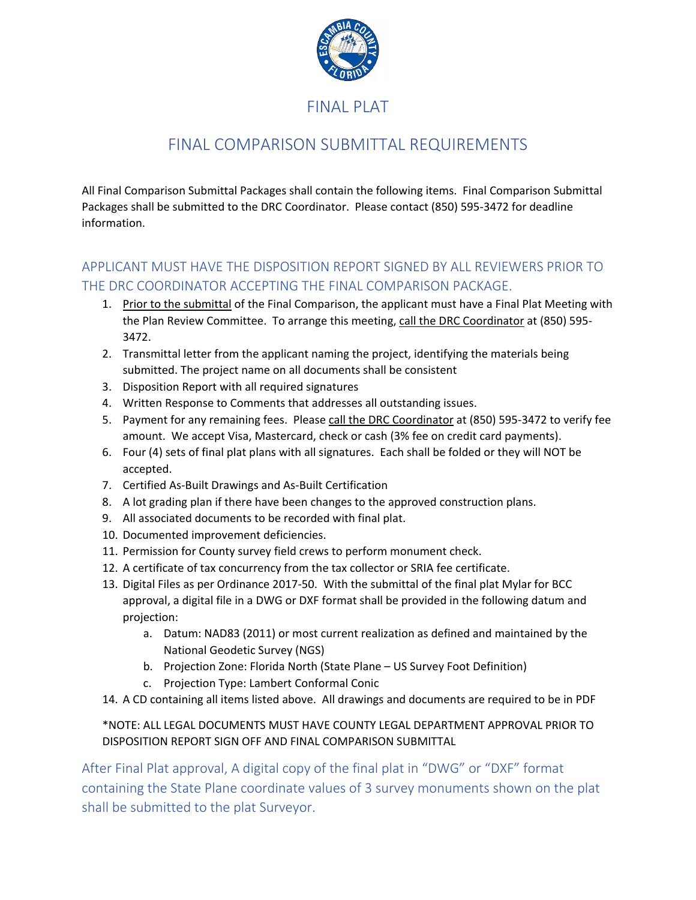

## FINAL PLAT

## FINAL COMPARISON SUBMITTAL REQUIREMENTS

All Final Comparison Submittal Packages shall contain the following items. Final Comparison Submittal Packages shall be submitted to the DRC Coordinator. Please contact (850) 595-3472 for deadline information.

### APPLICANT MUST HAVE THE DISPOSITION REPORT SIGNED BY ALL REVIEWERS PRIOR TO THE DRC COORDINATOR ACCEPTING THE FINAL COMPARISON PACKAGE.

- 1. Prior to the submittal of the Final Comparison, the applicant must have a Final Plat Meeting with the Plan Review Committee. To arrange this meeting, call the DRC Coordinator at (850) 595- 3472.
- 2. Transmittal letter from the applicant naming the project, identifying the materials being submitted. The project name on all documents shall be consistent
- 3. Disposition Report with all required signatures
- 4. Written Response to Comments that addresses all outstanding issues.
- 5. Payment for any remaining fees. Please call the DRC Coordinator at (850) 595-3472 to verify fee amount. We accept Visa, Mastercard, check or cash (3% fee on credit card payments).
- 6. Four (4) sets of final plat plans with all signatures. Each shall be folded or they will NOT be accepted.
- 7. Certified As-Built Drawings and As-Built Certification
- 8. A lot grading plan if there have been changes to the approved construction plans.
- 9. All associated documents to be recorded with final plat.
- 10. Documented improvement deficiencies.
- 11. Permission for County survey field crews to perform monument check.
- 12. A certificate of tax concurrency from the tax collector or SRIA fee certificate.
- 13. Digital Files as per Ordinance 2017-50. With the submittal of the final plat Mylar for BCC approval, a digital file in a DWG or DXF format shall be provided in the following datum and projection:
	- a. Datum: NAD83 (2011) or most current realization as defined and maintained by the National Geodetic Survey (NGS)
	- b. Projection Zone: Florida North (State Plane US Survey Foot Definition)
	- c. Projection Type: Lambert Conformal Conic
- 14. A CD containing all items listed above. All drawings and documents are required to be in PDF

#### \*NOTE: ALL LEGAL DOCUMENTS MUST HAVE COUNTY LEGAL DEPARTMENT APPROVAL PRIOR TO DISPOSITION REPORT SIGN OFF AND FINAL COMPARISON SUBMITTAL

After Final Plat approval, A digital copy of the final plat in "DWG" or "DXF" format containing the State Plane coordinate values of 3 survey monuments shown on the plat shall be submitted to the plat Surveyor.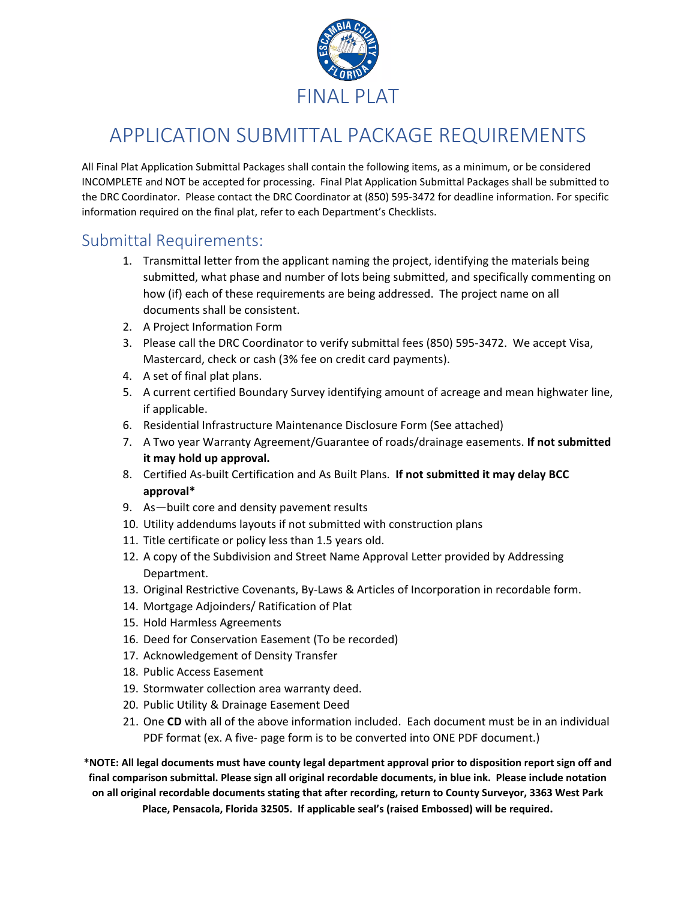

# APPLICATION SUBMITTAL PACKAGE REQUIREMENTS

All Final Plat Application Submittal Packages shall contain the following items, as a minimum, or be considered INCOMPLETE and NOT be accepted for processing. Final Plat Application Submittal Packages shall be submitted to the DRC Coordinator. Please contact the DRC Coordinator at (850) 595-3472 for deadline information. For specific information required on the final plat, refer to each Department's Checklists.

### Submittal Requirements:

- 1. Transmittal letter from the applicant naming the project, identifying the materials being submitted, what phase and number of lots being submitted, and specifically commenting on how (if) each of these requirements are being addressed. The project name on all documents shall be consistent.
- 2. A Project Information Form
- 3. Please call the DRC Coordinator to verify submittal fees (850) 595-3472. We accept Visa, Mastercard, check or cash (3% fee on credit card payments).
- 4. A set of final plat plans.
- 5. A current certified Boundary Survey identifying amount of acreage and mean highwater line, if applicable.
- 6. Residential Infrastructure Maintenance Disclosure Form (See attached)
- 7. A Two year Warranty Agreement/Guarantee of roads/drainage easements. **If not submitted it may hold up approval.**
- 8. Certified As-built Certification and As Built Plans. **If not submitted it may delay BCC approval\***
- 9. As—built core and density pavement results
- 10. Utility addendums layouts if not submitted with construction plans
- 11. Title certificate or policy less than 1.5 years old.
- 12. A copy of the Subdivision and Street Name Approval Letter provided by Addressing Department.
- 13. Original Restrictive Covenants, By-Laws & Articles of Incorporation in recordable form.
- 14. Mortgage Adjoinders/ Ratification of Plat
- 15. Hold Harmless Agreements
- 16. Deed for Conservation Easement (To be recorded)
- 17. Acknowledgement of Density Transfer
- 18. Public Access Easement
- 19. Stormwater collection area warranty deed.
- 20. Public Utility & Drainage Easement Deed
- 21. One **CD** with all of the above information included. Each document must be in an individual PDF format (ex. A five- page form is to be converted into ONE PDF document.)

**\*NOTE: All legal documents must have county legal department approval prior to disposition report sign off and final comparison submittal. Please sign all original recordable documents, in blue ink. Please include notation on all original recordable documents stating that after recording, return to County Surveyor, 3363 West Park Place, Pensacola, Florida 32505. If applicable seal's (raised Embossed) will be required.**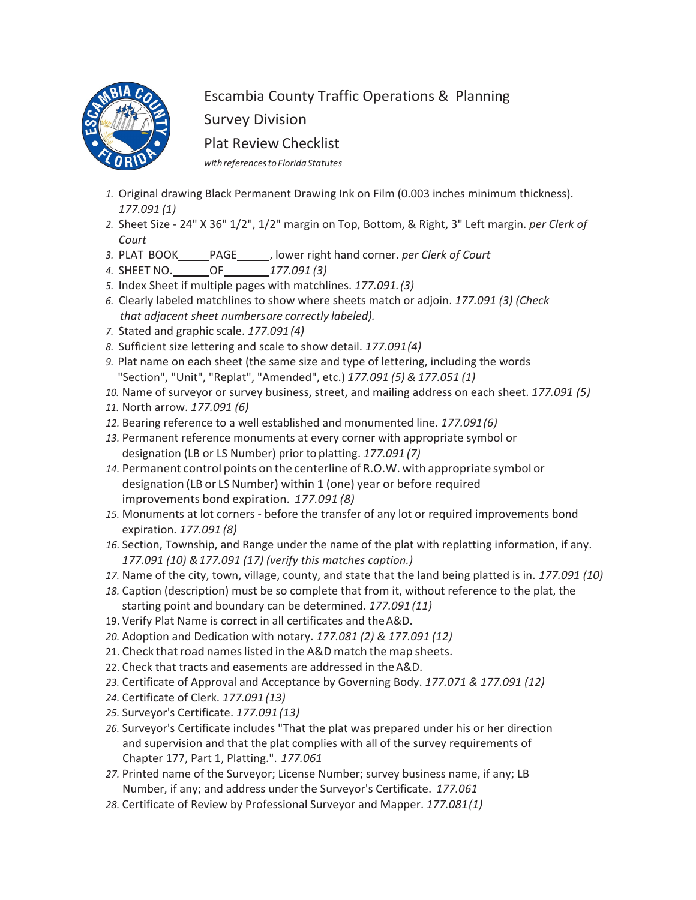

# Escambia County Traffic Operations & Planning

Survey Division

Plat Review Checklist

*withreferencestoFloridaStatutes*

- *1.* Original drawing Black Permanent Drawing Ink on Film (0.003 inches minimum thickness). *177.091 (1)*
- *2.* Sheet Size 24" X 36" 1/2", 1/2" margin on Top, Bottom, & Right, 3" Left margin. *per Clerk of Court*
- 3. PLAT BOOK\_\_\_\_\_PAGE\_\_\_\_\_\_, lower right hand corner. *per Clerk of Court*
- *4.* SHEET NO. OF *177.091 (3)*
- *5.* Index Sheet if multiple pages with matchlines. *177.091.(3)*
- *6.* Clearly labeled matchlines to show where sheets match or adjoin. *177.091 (3) (Check that adjacent sheet numbersare correctly labeled).*
- *7.* Stated and graphic scale. *177.091(4)*
- *8.* Sufficient size lettering and scale to show detail. *177.091(4)*
- *9.* Plat name on each sheet (the same size and type of lettering, including the words "Section", "Unit", "Replat", "Amended", etc.) *177.091 (5) & 177.051 (1)*
- *10.* Name of surveyor or survey business, street, and mailing address on each sheet. *177.091 (5)*
- *11.* North arrow. *177.091 (6)*
- *12.* Bearing reference to a well established and monumented line. *177.091(6)*
- *13.* Permanent reference monuments at every corner with appropriate symbol or designation (LB or LS Number) prior to platting. *177.091 (7)*
- *14.* Permanent control points on the centerline of R.O.W. with appropriate symbol or designation (LB or LS Number) within 1 (one) year or before required improvements bond expiration. *177.091 (8)*
- *15.* Monuments at lot corners before the transfer of any lot or required improvements bond expiration. *177.091 (8)*
- *16.* Section, Township, and Range under the name of the plat with replatting information, if any. *177.091 (10) &177.091 (17) (verify this matches caption.)*
- *17.* Name of the city, town, village, county, and state that the land being platted is in. *177.091 (10)*
- *18.* Caption (description) must be so complete that from it, without reference to the plat, the starting point and boundary can be determined. *177.091 (11)*
- 19. Verify Plat Name is correct in all certificates and theA&D.
- *20.* Adoption and Dedication with notary. *177.081 (2) & 177.091 (12)*
- 21. Check that road names listed in the A&D match the map sheets.
- 22. Check that tracts and easements are addressed in theA&D.
- *23.* Certificate of Approval and Acceptance by Governing Body. *177.071 & 177.091 (12)*
- *24.* Certificate of Clerk. *177.091 (13)*
- *25.* Surveyor's Certificate. *177.091 (13)*
- *26.* Surveyor's Certificate includes "That the plat was prepared under his or her direction and supervision and that the plat complies with all of the survey requirements of Chapter 177, Part 1, Platting.". *177.061*
- *27.* Printed name of the Surveyor; License Number; survey business name, if any; LB Number, if any; and address under the Surveyor's Certificate. *177.061*
- *28.* Certificate of Review by Professional Surveyor and Mapper. *177.081(1)*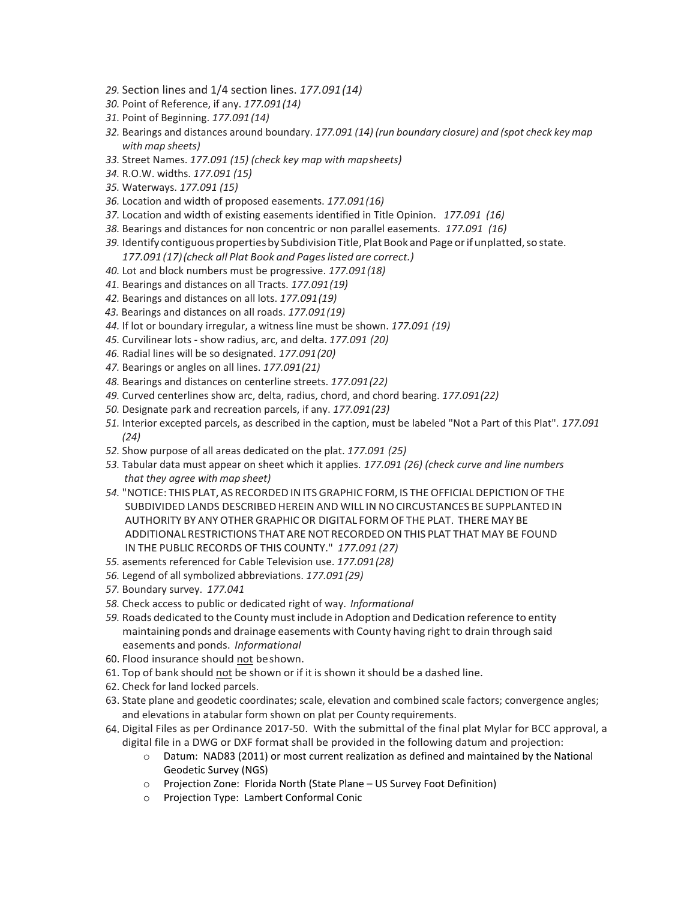- *29.* Section lines and 1/4 section lines. *177.091(14)*
- *30.* Point of Reference, if any. *177.091(14)*
- *31.* Point of Beginning. *177.091(14)*
- *32.* Bearings and distances around boundary. *177.091 (14) (run boundary closure) and (spot check key map with map sheets)*
- *33.* Street Names. *177.091 (15) (check key map with mapsheets)*
- *34.* R.O.W. widths. *177.091 (15)*
- *35.* Waterways. *177.091 (15)*
- *36.* Location and width of proposed easements. *177.091(16)*
- *37.* Location and width of existing easements identified in Title Opinion. *177.091 (16)*
- *38.* Bearings and distances for non concentric or non parallel easements. *177.091 (16)*
- 39. Identify contiguous properties by Subdivision Title, Plat Book and Page or if unplatted, so state.
	- *177.091(17)(check all Plat Book and Pageslisted are correct.)*
- *40.* Lot and block numbers must be progressive. *177.091(18)*
- *41.* Bearings and distances on all Tracts. *177.091(19)*
- *42.* Bearings and distances on all lots. *177.091(19)*
- *43.* Bearings and distances on all roads. *177.091(19)*
- *44.* If lot or boundary irregular, a witness line must be shown. *177.091 (19)*
- *45.* Curvilinear lots show radius, arc, and delta. *177.091 (20)*
- *46.* Radial lines will be so designated. *177.091(20)*
- *47.* Bearings or angles on all lines. *177.091(21)*
- *48.* Bearings and distances on centerline streets. *177.091(22)*
- *49.* Curved centerlines show arc, delta, radius, chord, and chord bearing. *177.091(22)*
- *50.* Designate park and recreation parcels, if any. *177.091(23)*
- *51.* Interior excepted parcels, as described in the caption, must be labeled "Not a Part of this Plat". *177.091 (24)*
- *52.* Show purpose of all areas dedicated on the plat. *177.091 (25)*
- *53.* Tabular data must appear on sheet which it applies. *177.091 (26) (check curve and line numbers that they agree with map sheet)*
- 54. "NOTICE: THIS PLAT, AS RECORDED IN ITS GRAPHIC FORM, IS THE OFFICIAL DEPICTION OF THE SUBDIVIDEDLANDS DESCRIBED HEREINAND WILL IN NOCIRCUSTANCES BE SUPPLANTED IN AUTHORITY BY ANYOTHER GRAPHICOR DIGITAL FORM OF THE PLAT. THERE MAY BE ADDITIONAL RESTRICTIONS THAT ARENOT RECORDEDONTHIS PLAT THAT MAY BE FOUND IN THE PUBLIC RECORDS OF THIS COUNTY." *177.091 (27)*
- *55.* asements referenced for Cable Television use. *177.091(28)*
- *56.* Legend of all symbolized abbreviations. *177.091(29)*
- *57.* Boundary survey. *177.041*
- *58.* Check access to public or dedicated right of way. *Informational*
- *59.* Roads dedicated to the County must include in Adoption and Dedication reference to entity maintaining ponds and drainage easements with County having right to drain through said easements and ponds. *Informational*
- 60. Flood insurance should not beshown.
- 61. Top of bank should not be shown or if it is shown it should be a dashed line.
- 62. Check for land locked parcels.
- 63. State plane and geodetic coordinates; scale, elevation and combined scale factors; convergence angles; and elevations in a tabular form shown on plat per County requirements.
- 64. Digital Files as per Ordinance 2017-50. With the submittal of the final plat Mylar for BCC approval, a digital file in a DWG or DXF format shall be provided in the following datum and projection:
	- $\circ$  Datum: NAD83 (2011) or most current realization as defined and maintained by the National Geodetic Survey (NGS)
	- o Projection Zone: Florida North (State Plane US Survey Foot Definition)
	- o Projection Type: Lambert Conformal Conic